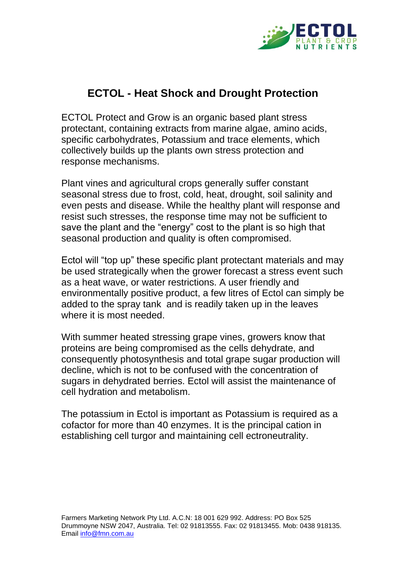

## **ECTOL - Heat Shock and Drought Protection**

ECTOL Protect and Grow is an organic based plant stress protectant, containing extracts from marine algae, amino acids, specific carbohydrates, Potassium and trace elements, which collectively builds up the plants own stress protection and response mechanisms.

Plant vines and agricultural crops generally suffer constant seasonal stress due to frost, cold, heat, drought, soil salinity and even pests and disease. While the healthy plant will response and resist such stresses, the response time may not be sufficient to save the plant and the "energy" cost to the plant is so high that seasonal production and quality is often compromised.

Ectol will "top up" these specific plant protectant materials and may be used strategically when the grower forecast a stress event such as a heat wave, or water restrictions. A user friendly and environmentally positive product, a few litres of Ectol can simply be added to the spray tank and is readily taken up in the leaves where it is most needed.

With summer heated stressing grape vines, growers know that proteins are being compromised as the cells dehydrate, and consequently photosynthesis and total grape sugar production will decline, which is not to be confused with the concentration of sugars in dehydrated berries. Ectol will assist the maintenance of cell hydration and metabolism.

The potassium in Ectol is important as Potassium is required as a cofactor for more than 40 enzymes. It is the principal cation in establishing cell turgor and maintaining cell ectroneutrality.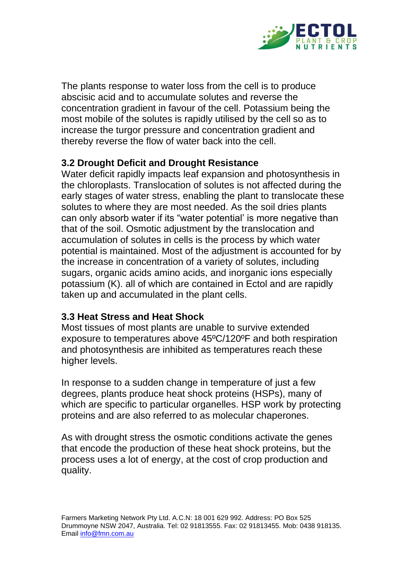

The plants response to water loss from the cell is to produce abscisic acid and to accumulate solutes and reverse the concentration gradient in favour of the cell. Potassium being the most mobile of the solutes is rapidly utilised by the cell so as to increase the turgor pressure and concentration gradient and thereby reverse the flow of water back into the cell.

## **3.2 Drought Deficit and Drought Resistance**

Water deficit rapidly impacts leaf expansion and photosynthesis in the chloroplasts. Translocation of solutes is not affected during the early stages of water stress, enabling the plant to translocate these solutes to where they are most needed. As the soil dries plants can only absorb water if its "water potential' is more negative than that of the soil. Osmotic adjustment by the translocation and accumulation of solutes in cells is the process by which water potential is maintained. Most of the adjustment is accounted for by the increase in concentration of a variety of solutes, including sugars, organic acids amino acids, and inorganic ions especially potassium (K). all of which are contained in Ectol and are rapidly taken up and accumulated in the plant cells.

## **3.3 Heat Stress and Heat Shock**

Most tissues of most plants are unable to survive extended exposure to temperatures above 45ºC/120ºF and both respiration and photosynthesis are inhibited as temperatures reach these higher levels.

In response to a sudden change in temperature of just a few degrees, plants produce heat shock proteins (HSPs), many of which are specific to particular organelles. HSP work by protecting proteins and are also referred to as molecular chaperones.

As with drought stress the osmotic conditions activate the genes that encode the production of these heat shock proteins, but the process uses a lot of energy, at the cost of crop production and quality.